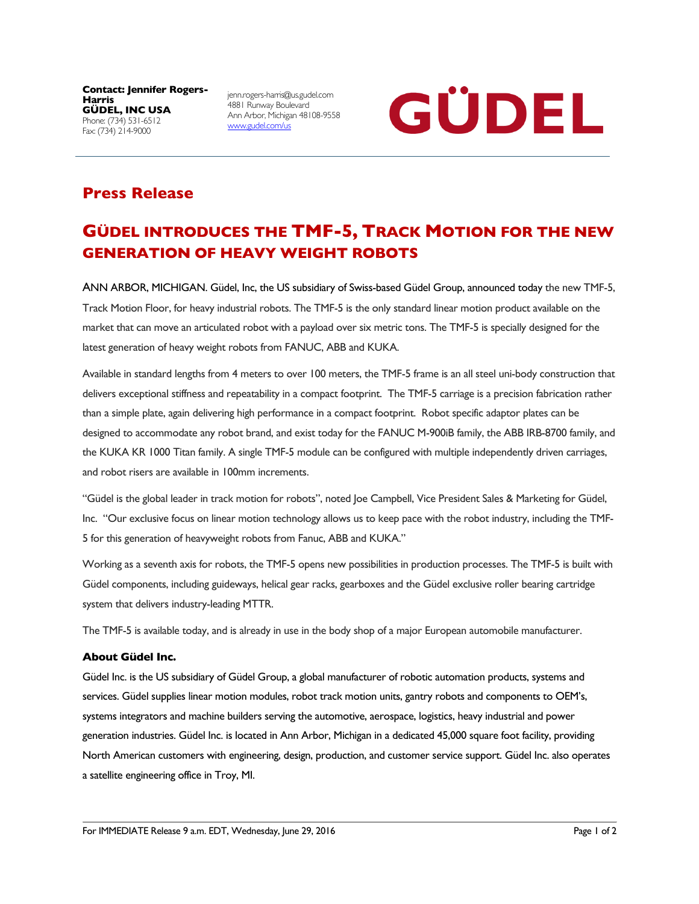**Contact: Jennifer Rogers-Harris GÜDEL, INC USA** Phone: (734) 531-6512 Fax: (734) 214-9000

jenn.rogers-harris@us.gudel.com 4881 Runway Boulevard Ann Arbor, Michigan 48108-9558 www.gudel.com/us



## **Press Release**

# **GÜDEL INTRODUCES THE TMF-5, TRACK MOTION FOR THE NEW GENERATION OF HEAVY WEIGHT ROBOTS**

ANN ARBOR, MICHIGAN. Güdel, Inc, the US subsidiary of Swiss-based Güdel Group, announced today the new TMF-5, Track Motion Floor, for heavy industrial robots. The TMF-5 is the only standard linear motion product available on the market that can move an articulated robot with a payload over six metric tons. The TMF-5 is specially designed for the latest generation of heavy weight robots from FANUC, ABB and KUKA.

Available in standard lengths from 4 meters to over 100 meters, the TMF-5 frame is an all steel uni-body construction that delivers exceptional stiffness and repeatability in a compact footprint. The TMF-5 carriage is a precision fabrication rather than a simple plate, again delivering high performance in a compact footprint. Robot specific adaptor plates can be designed to accommodate any robot brand, and exist today for the FANUC M-900iB family, the ABB IRB-8700 family, and the KUKA KR 1000 Titan family. A single TMF-5 module can be configured with multiple independently driven carriages, and robot risers are available in 100mm increments.

"Güdel is the global leader in track motion for robots", noted Joe Campbell, Vice President Sales & Marketing for Güdel, Inc. "Our exclusive focus on linear motion technology allows us to keep pace with the robot industry, including the TMF-5 for this generation of heavyweight robots from Fanuc, ABB and KUKA."

Working as a seventh axis for robots, the TMF-5 opens new possibilities in production processes. The TMF-5 is built with Güdel components, including guideways, helical gear racks, gearboxes and the Güdel exclusive roller bearing cartridge system that delivers industry-leading MTTR.

The TMF-5 is available today, and is already in use in the body shop of a major European automobile manufacturer.

#### **About Güdel Inc.**

Güdel Inc. is the US subsidiary of Güdel Group, a global manufacturer of robotic automation products, systems and services. Güdel supplies linear motion modules, robot track motion units, gantry robots and components to OEM's, systems integrators and machine builders serving the automotive, aerospace, logistics, heavy industrial and power generation industries. Güdel Inc. is located in Ann Arbor, Michigan in a dedicated 45,000 square foot facility, providing North American customers with engineering, design, production, and customer service support. Güdel Inc. also operates a satellite engineering office in Troy, MI.